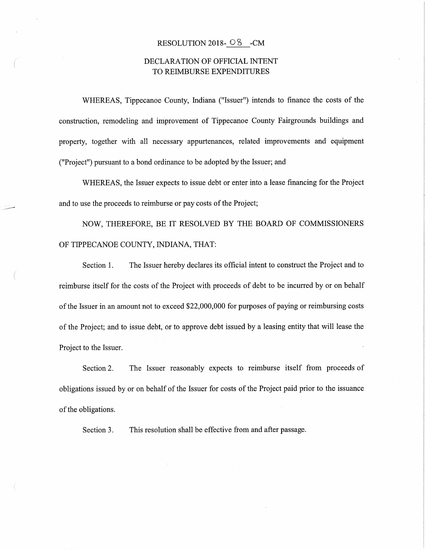## RESOLUTION 2018-  $\odot$  5 -CM

## DECLARATION OF OFFICIAL INTENT TO REIMBURSE EXPENDITURES

WHEREAS, Tippecanoe County, Indiana ("Issuer") intends to finance the costs of the construction, remodeling and improvement of Tippecanoe County Fairgrounds buildings and property, together with all necessary appurtenances, related improvements and equipment ("Project") pursuant to <sup>a</sup> bond ordinance to be adopted by the Issuer; and

WHEREAS, the Issuer expects to issue debt or enter into <sup>a</sup> lease financing for the Project and to use the proceeds to reimburse or pay costs of the Project;

NOW, THEREFORE, BE IT RESOLVED BY THE BOARD OF COMMISSIONERS OF TIPPECANOE COUNTY, INDIANA, THAT:

Section I. The Issuer hereby declares its official intent to construct the Project and to reimburse itself for the costs of the Project with proceeds of debt to be incurred by or on behalf of the Issuer in an amount not to exceed \$22,000,000 for purposes of paying or reimbursing costs of the Project; and to issue debt, or to approve debtissued by <sup>a</sup> leasing entity that will lease the Project to the Issuer.

Section 2. The Issuer reasonably expects to reimburse itself from proceeds of obligations issued by or on behalf of the Issuer for costs of the Project paid prior to the issuance of the obligations.

Section 3. This resolution shall be effective from and after passage.